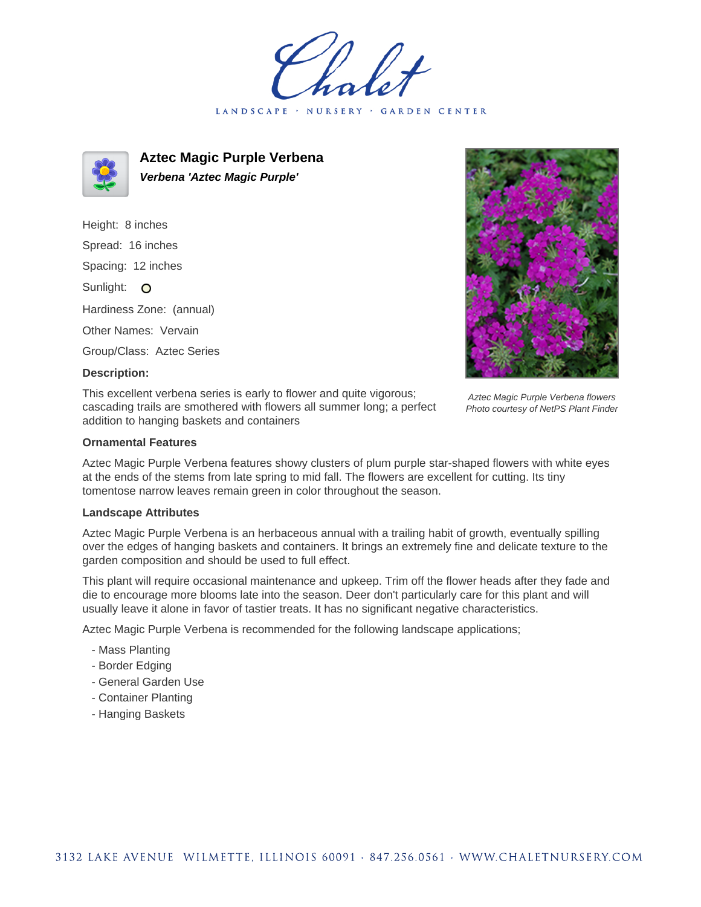LANDSCAPE · NURSERY GARDEN CENTER



**Aztec Magic Purple Verbena Verbena 'Aztec Magic Purple'**

Height: 8 inches Spread: 16 inches Spacing: 12 inches Sunlight: O Hardiness Zone: (annual) Other Names: Vervain Group/Class: Aztec Series



## **Description:**

This excellent verbena series is early to flower and quite vigorous; cascading trails are smothered with flowers all summer long; a perfect addition to hanging baskets and containers

Aztec Magic Purple Verbena flowers Photo courtesy of NetPS Plant Finder

## **Ornamental Features**

Aztec Magic Purple Verbena features showy clusters of plum purple star-shaped flowers with white eyes at the ends of the stems from late spring to mid fall. The flowers are excellent for cutting. Its tiny tomentose narrow leaves remain green in color throughout the season.

## **Landscape Attributes**

Aztec Magic Purple Verbena is an herbaceous annual with a trailing habit of growth, eventually spilling over the edges of hanging baskets and containers. It brings an extremely fine and delicate texture to the garden composition and should be used to full effect.

This plant will require occasional maintenance and upkeep. Trim off the flower heads after they fade and die to encourage more blooms late into the season. Deer don't particularly care for this plant and will usually leave it alone in favor of tastier treats. It has no significant negative characteristics.

Aztec Magic Purple Verbena is recommended for the following landscape applications;

- Mass Planting
- Border Edging
- General Garden Use
- Container Planting
- Hanging Baskets